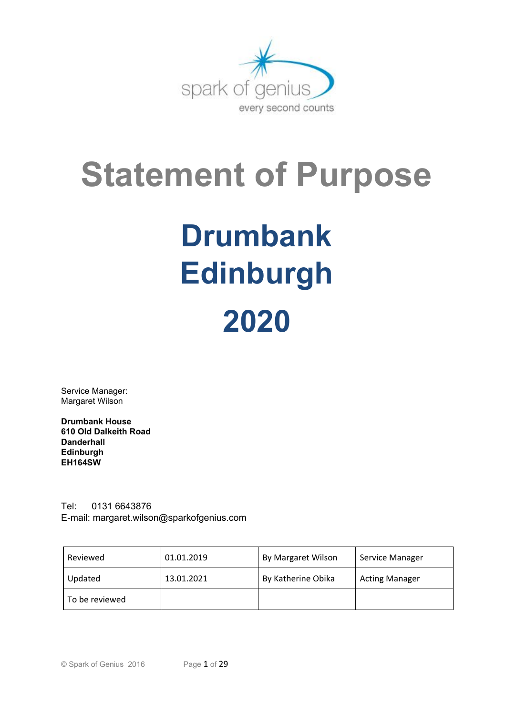

# **Statement of Purpose**

# **Drumbank Edinburgh 2020**

Service Manager: Margaret Wilson

**Drumbank House 610 Old Dalkeith Road Danderhall Edinburgh EH164SW**

Tel: 0131 6643876 E-mail: margaret.wilson@sparkofgenius.co[m](mailto:kirsty.stuart@sparkofgenius.com)

| Reviewed       | 01.01.2019 | By Margaret Wilson | Service Manager       |  |
|----------------|------------|--------------------|-----------------------|--|
| Updated        | 13.01.2021 | By Katherine Obika | <b>Acting Manager</b> |  |
| To be reviewed |            |                    |                       |  |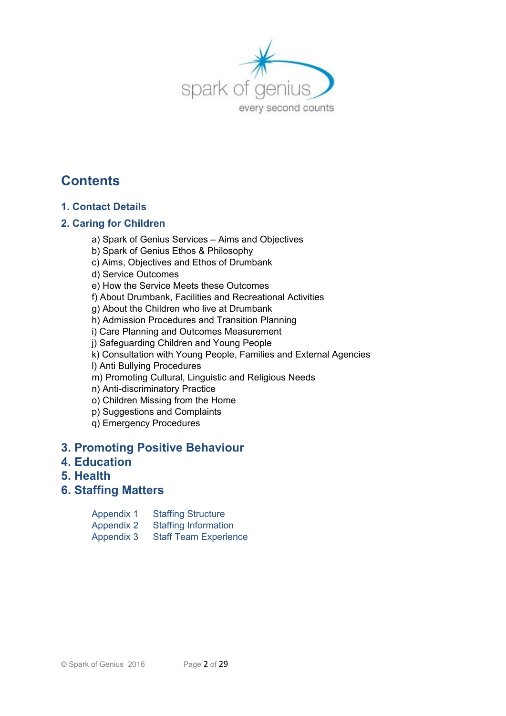

# **Contents**

# **1. Contact Details**

# **2. Caring for Children**

a) Spark of Genius Services – Aims and Objectives

b) Spark of Genius Ethos & Philosophy

c) Aims, Objectives and Ethos of Drumbank

d) Service Outcomes

e) How the Service Meets these Outcomes

f) About Drumbank, Facilities and Recreational Activities

g) About the Children who live at Drumbank

h) Admission Procedures and Transition Planning

i) Care Planning and Outcomes Measurement

j) Safeguarding Children and Young People

k) Consultation with Young People, Families and External Agencies

l) Anti Bullying Procedures

m) Promoting Cultural, Linguistic and Religious Needs

n) Anti-discriminatory Practice

o) Children Missing from the Home

p) Suggestions and Complaints

q) Emergency Procedures

# **3. Promoting Positive Behaviour**

# **4. Education**

- **5. Health**
- **6. Staffing Matters**

| <b>Appendix 1</b> | <b>Staffing Structure</b>    |
|-------------------|------------------------------|
| <b>Appendix 2</b> | <b>Staffing Information</b>  |
| Appendix 3        | <b>Staff Team Experience</b> |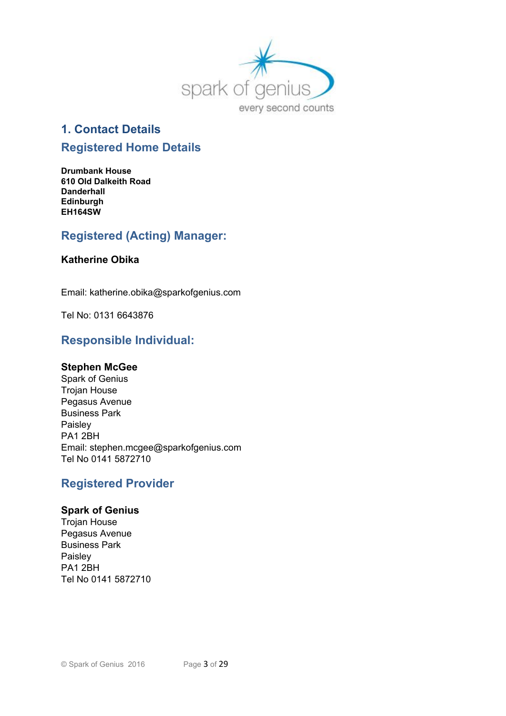

# **1. Contact Details**

# **Registered Home Details**

**Drumbank House 610 Old Dalkeith Road Danderhall Edinburgh EH164SW**

# **Registered (Acting) Manager:**

#### **Katherine Obika**

Email: katherine.obika@sparkofgenius.com

Tel No: 0131 6643876

# **Responsible Individual:**

#### **Stephen McGee**

Spark of Genius Trojan House Pegasus Avenue Business Park Paisley PA1 2BH Email: stephen.mcgee@sparkofgenius.com Tel No 0141 5872710

# **Registered Provider**

#### **Spark of Genius**

Trojan House Pegasus Avenue Business Park Paisley PA1 2BH Tel No 0141 5872710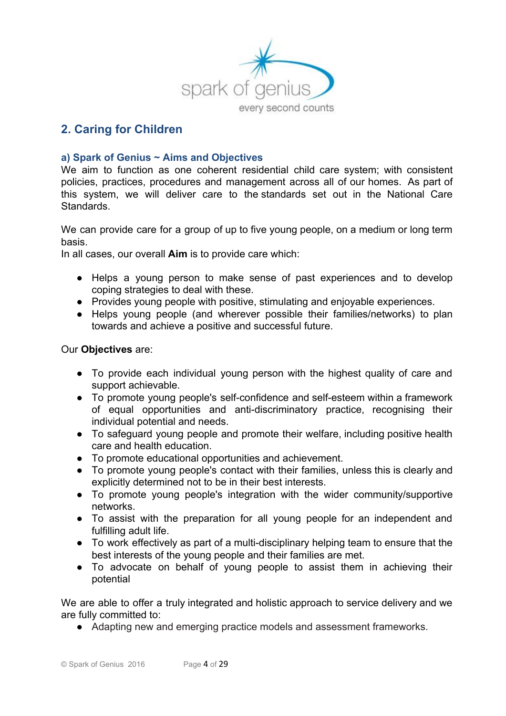

# **2. Caring for Children**

#### **a) Spark of Genius ~ Aims and Objectives**

We aim to function as one coherent residential child care system; with consistent policies, practices, procedures and management across all of our homes. As part of this system, we will deliver care to the standards set out in the National Care **Standards** 

We can provide care for a group of up to five young people, on a medium or long term basis.

In all cases, our overall **Aim** is to provide care which:

- Helps a young person to make sense of past experiences and to develop coping strategies to deal with these.
- Provides young people with positive, stimulating and enjoyable experiences.
- Helps young people (and wherever possible their families/networks) to plan towards and achieve a positive and successful future.

#### Our **Objectives** are:

- To provide each individual young person with the highest quality of care and support achievable.
- To promote young people's self-confidence and self-esteem within a framework of equal opportunities and anti-discriminatory practice, recognising their individual potential and needs.
- To safeguard young people and promote their welfare, including positive health care and health education.
- To promote educational opportunities and achievement.
- To promote young people's contact with their families, unless this is clearly and explicitly determined not to be in their best interests.
- To promote young people's integration with the wider community/supportive networks.
- To assist with the preparation for all young people for an independent and fulfilling adult life.
- To work effectively as part of a multi-disciplinary helping team to ensure that the best interests of the young people and their families are met.
- To advocate on behalf of young people to assist them in achieving their potential

We are able to offer a truly integrated and holistic approach to service delivery and we are fully committed to:

● Adapting new and emerging practice models and assessment frameworks.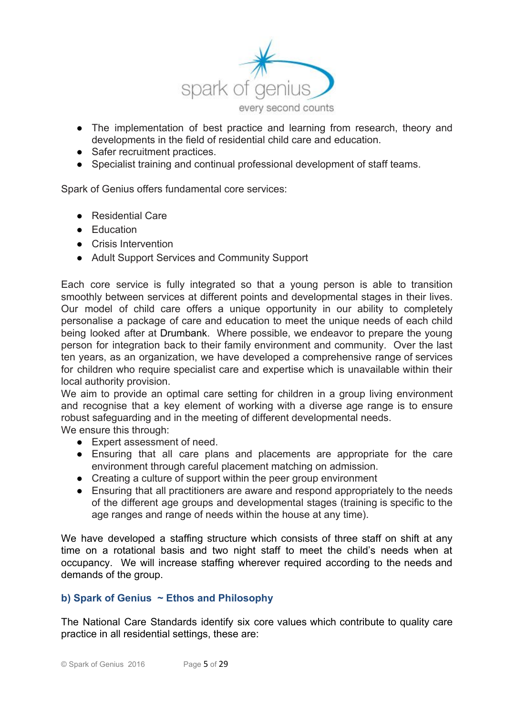

- The implementation of best practice and learning from research, theory and developments in the field of residential child care and education.
- Safer recruitment practices.
- Specialist training and continual professional development of staff teams.

Spark of Genius offers fundamental core services:

- Residential Care
- Education
- Crisis Intervention
- Adult Support Services and Community Support

Each core service is fully integrated so that a young person is able to transition smoothly between services at different points and developmental stages in their lives. Our model of child care offers a unique opportunity in our ability to completely personalise a package of care and education to meet the unique needs of each child being looked after at Drumbank. Where possible, we endeavor to prepare the young person for integration back to their family environment and community. Over the last ten years, as an organization, we have developed a comprehensive range of services for children who require specialist care and expertise which is unavailable within their local authority provision.

We aim to provide an optimal care setting for children in a group living environment and recognise that a key element of working with a diverse age range is to ensure robust safeguarding and in the meeting of different developmental needs.

We ensure this through:

- Expert assessment of need.
- Ensuring that all care plans and placements are appropriate for the care environment through careful placement matching on admission.
- Creating a culture of support within the peer group environment
- Ensuring that all practitioners are aware and respond appropriately to the needs of the different age groups and developmental stages (training is specific to the age ranges and range of needs within the house at any time).

We have developed a staffing structure which consists of three staff on shift at any time on a rotational basis and two night staff to meet the child's needs when at occupancy. We will increase staffing wherever required according to the needs and demands of the group.

#### **b) Spark of Genius ~ Ethos and Philosophy**

The National Care Standards identify six core values which contribute to quality care practice in all residential settings, these are: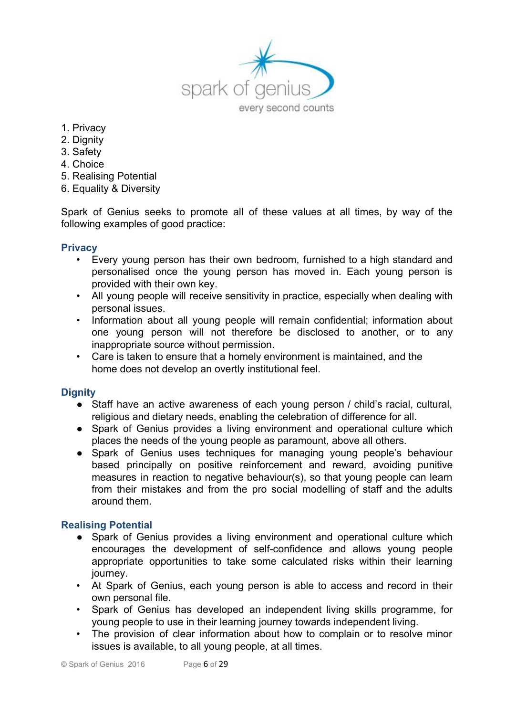

- 1. Privacy
- 2. Dignity
- 3. Safety
- 4. Choice
- 5. Realising Potential
- 6. Equality & Diversity

Spark of Genius seeks to promote all of these values at all times, by way of the following examples of good practice:

#### **Privacy**

- Every young person has their own bedroom, furnished to a high standard and personalised once the young person has moved in. Each young person is provided with their own key.
- All young people will receive sensitivity in practice, especially when dealing with personal issues.
- Information about all young people will remain confidential; information about one young person will not therefore be disclosed to another, or to any inappropriate source without permission.
- Care is taken to ensure that a homely environment is maintained, and the home does not develop an overtly institutional feel.

# **Dignity**

- Staff have an active awareness of each young person / child's racial, cultural, religious and dietary needs, enabling the celebration of difference for all.
- Spark of Genius provides a living environment and operational culture which places the needs of the young people as paramount, above all others.
- Spark of Genius uses techniques for managing young people's behaviour based principally on positive reinforcement and reward, avoiding punitive measures in reaction to negative behaviour(s), so that young people can learn from their mistakes and from the pro social modelling of staff and the adults around them.

#### **Realising Potential**

- Spark of Genius provides a living environment and operational culture which encourages the development of self-confidence and allows young people appropriate opportunities to take some calculated risks within their learning journey.
- At Spark of Genius, each young person is able to access and record in their own personal file.
- Spark of Genius has developed an independent living skills programme, for young people to use in their learning journey towards independent living.
- The provision of clear information about how to complain or to resolve minor issues is available, to all young people, at all times.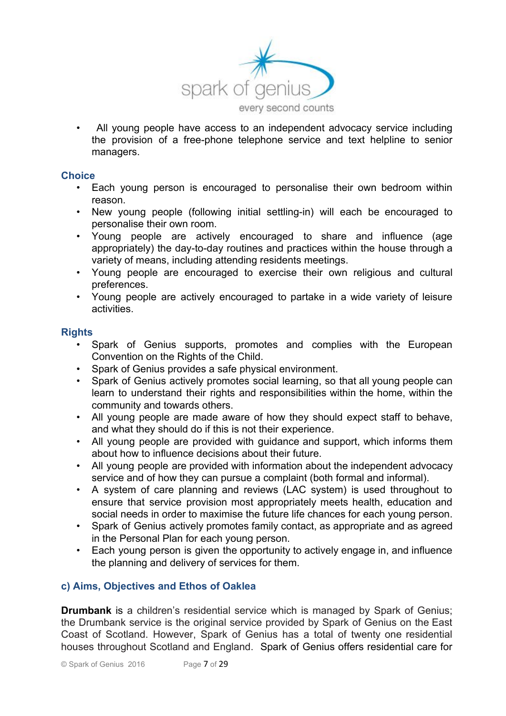

• All young people have access to an independent advocacy service including the provision of a free-phone telephone service and text helpline to senior managers.

#### **Choice**

- Each young person is encouraged to personalise their own bedroom within reason.
- New young people (following initial settling-in) will each be encouraged to personalise their own room.
- Young people are actively encouraged to share and influence (age appropriately) the day-to-day routines and practices within the house through a variety of means, including attending residents meetings.
- Young people are encouraged to exercise their own religious and cultural preferences.
- Young people are actively encouraged to partake in a wide variety of leisure activities.

#### **Rights**

- Spark of Genius supports, promotes and complies with the European Convention on the Rights of the Child.
- Spark of Genius provides a safe physical environment.
- Spark of Genius actively promotes social learning, so that all young people can learn to understand their rights and responsibilities within the home, within the community and towards others.
- All young people are made aware of how they should expect staff to behave, and what they should do if this is not their experience.
- All young people are provided with guidance and support, which informs them about how to influence decisions about their future.
- All young people are provided with information about the independent advocacy service and of how they can pursue a complaint (both formal and informal).
- A system of care planning and reviews (LAC system) is used throughout to ensure that service provision most appropriately meets health, education and social needs in order to maximise the future life chances for each young person.
- Spark of Genius actively promotes family contact, as appropriate and as agreed in the Personal Plan for each young person.
- Each young person is given the opportunity to actively engage in, and influence the planning and delivery of services for them.

#### **c) Aims, Objectives and Ethos of Oaklea**

**Drumbank** is a children's residential service which is managed by Spark of Genius; the Drumbank service is the original service provided by Spark of Genius on the East Coast of Scotland. However, Spark of Genius has a total of twenty one residential houses throughout Scotland and England. Spark of Genius offers residential care for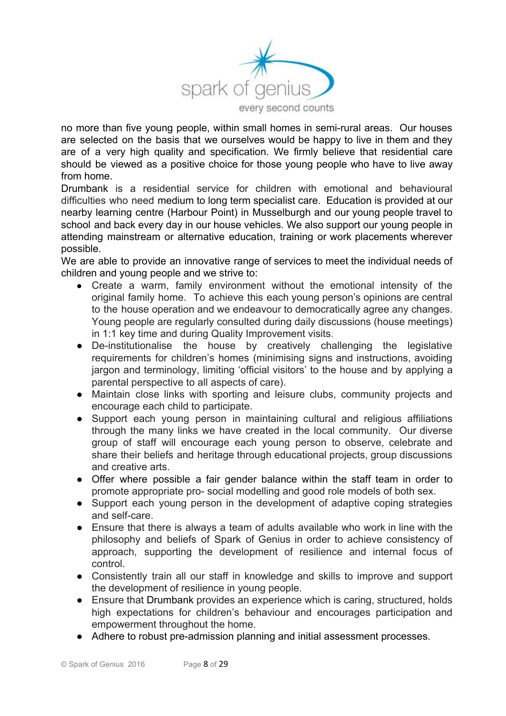

no more than five young people, within small homes in semi-rural areas. Our houses are selected on the basis that we ourselves would be happy to live in them and they are of a very high quality and specification. We firmly believe that residential care should be viewed as a positive choice for those young people who have to live away from home.

Drumbank is a residential service for children with emotional and behavioural difficulties who need medium to long term specialist care. Education is provided at our nearby learning centre (Harbour Point) in Musselburgh and our young people travel to school and back every day in our house vehicles. We also support our young people in attending mainstream or alternative education, training or work placements wherever possible.

We are able to provide an innovative range of services to meet the individual needs of children and young people and we strive to:

- Create a warm, family environment without the emotional intensity of the original family home. To achieve this each young person's opinions are central to the house operation and we endeavour to democratically agree any changes. Young people are regularly consulted during daily discussions (house meetings) in 1:1 key time and during Quality Improvement visits.
- De-institutionalise the house by creatively challenging the legislative requirements for children's homes (minimising signs and instructions, avoiding jargon and terminology, limiting 'official visitors' to the house and by applying a parental perspective to all aspects of care).
- Maintain close links with sporting and leisure clubs, community projects and encourage each child to participate.
- Support each young person in maintaining cultural and religious affiliations through the many links we have created in the local community. Our diverse group of staff will encourage each young person to observe, celebrate and share their beliefs and heritage through educational projects, group discussions and creative arts.
- Offer where possible a fair gender balance within the staff team in order to promote appropriate pro- social modelling and good role models of both sex.
- Support each young person in the development of adaptive coping strategies and self-care.
- Ensure that there is always a team of adults available who work in line with the philosophy and beliefs of Spark of Genius in order to achieve consistency of approach, supporting the development of resilience and internal focus of control.
- Consistently train all our staff in knowledge and skills to improve and support the development of resilience in young people.
- Ensure that Drumbank provides an experience which is caring, structured, holds high expectations for children's behaviour and encourages participation and empowerment throughout the home.
- Adhere to robust pre-admission planning and initial assessment processes.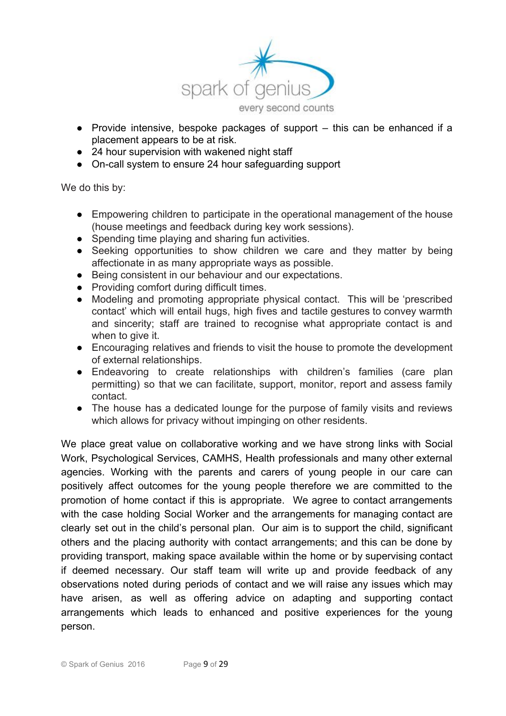

- Provide intensive, bespoke packages of support  $-$  this can be enhanced if a placement appears to be at risk.
- 24 hour supervision with wakened night staff
- On-call system to ensure 24 hour safeguarding support

We do this by:

- Empowering children to participate in the operational management of the house (house meetings and feedback during key work sessions).
- Spending time playing and sharing fun activities.
- Seeking opportunities to show children we care and they matter by being affectionate in as many appropriate ways as possible.
- Being consistent in our behaviour and our expectations.
- Providing comfort during difficult times.
- Modeling and promoting appropriate physical contact. This will be 'prescribed contact' which will entail hugs, high fives and tactile gestures to convey warmth and sincerity; staff are trained to recognise what appropriate contact is and when to give it.
- Encouraging relatives and friends to visit the house to promote the development of external relationships.
- Endeavoring to create relationships with children's families (care plan permitting) so that we can facilitate, support, monitor, report and assess family contact.
- The house has a dedicated lounge for the purpose of family visits and reviews which allows for privacy without impinging on other residents.

We place great value on collaborative working and we have strong links with Social Work, Psychological Services, CAMHS, Health professionals and many other external agencies. Working with the parents and carers of young people in our care can positively affect outcomes for the young people therefore we are committed to the promotion of home contact if this is appropriate. We agree to contact arrangements with the case holding Social Worker and the arrangements for managing contact are clearly set out in the child's personal plan. Our aim is to support the child, significant others and the placing authority with contact arrangements; and this can be done by providing transport, making space available within the home or by supervising contact if deemed necessary. Our staff team will write up and provide feedback of any observations noted during periods of contact and we will raise any issues which may have arisen, as well as offering advice on adapting and supporting contact arrangements which leads to enhanced and positive experiences for the young person.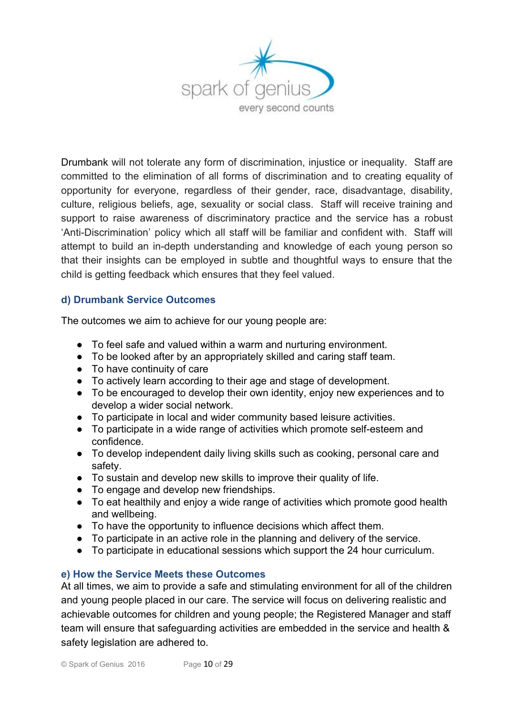

Drumbank will not tolerate any form of discrimination, injustice or inequality. Staff are committed to the elimination of all forms of discrimination and to creating equality of opportunity for everyone, regardless of their gender, race, disadvantage, disability, culture, religious beliefs, age, sexuality or social class. Staff will receive training and support to raise awareness of discriminatory practice and the service has a robust 'Anti-Discrimination' policy which all staff will be familiar and confident with. Staff will attempt to build an in-depth understanding and knowledge of each young person so that their insights can be employed in subtle and thoughtful ways to ensure that the child is getting feedback which ensures that they feel valued.

# **d) Drumbank Service Outcomes**

The outcomes we aim to achieve for our young people are:

- To feel safe and valued within a warm and nurturing environment.
- To be looked after by an appropriately skilled and caring staff team.
- To have continuity of care
- To actively learn according to their age and stage of development.
- To be encouraged to develop their own identity, enjoy new experiences and to develop a wider social network.
- To participate in local and wider community based leisure activities.
- To participate in a wide range of activities which promote self-esteem and confidence.
- To develop independent daily living skills such as cooking, personal care and safety.
- To sustain and develop new skills to improve their quality of life.
- To engage and develop new friendships.
- To eat healthily and enjoy a wide range of activities which promote good health and wellbeing.
- To have the opportunity to influence decisions which affect them.
- To participate in an active role in the planning and delivery of the service.
- To participate in educational sessions which support the 24 hour curriculum.

# **e) How the Service Meets these Outcomes**

At all times, we aim to provide a safe and stimulating environment for all of the children and young people placed in our care. The service will focus on delivering realistic and achievable outcomes for children and young people; the Registered Manager and staff team will ensure that safeguarding activities are embedded in the service and health & safety legislation are adhered to.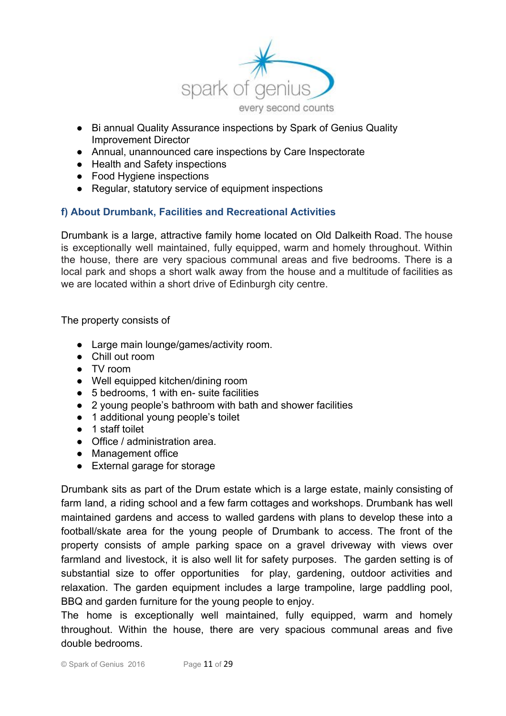

- Bi annual Quality Assurance inspections by Spark of Genius Quality Improvement Director
- Annual, unannounced care inspections by Care Inspectorate
- Health and Safety inspections
- Food Hygiene inspections
- Regular, statutory service of equipment inspections

# **f) About Drumbank, Facilities and Recreational Activities**

Drumbank is a large, attractive family home located on Old Dalkeith Road. The house is exceptionally well maintained, fully equipped, warm and homely throughout. Within the house, there are very spacious communal areas and five bedrooms. There is a local park and shops a short walk away from the house and a multitude of facilities as we are located within a short drive of Edinburgh city centre.

The property consists of

- Large main lounge/games/activity room.
- Chill out room
- TV room
- Well equipped kitchen/dining room
- 5 bedrooms, 1 with en- suite facilities
- 2 young people's bathroom with bath and shower facilities
- 1 additional young people's toilet
- 1 staff toilet
- Office / administration area.
- Management office
- External garage for storage

Drumbank sits as part of the Drum estate which is a large estate, mainly consisting of farm land, a riding school and a few farm cottages and workshops. Drumbank has well maintained gardens and access to walled gardens with plans to develop these into a football/skate area for the young people of Drumbank to access. The front of the property consists of ample parking space on a gravel driveway with views over farmland and livestock, it is also well lit for safety purposes. The garden setting is of substantial size to offer opportunities for play, gardening, outdoor activities and relaxation. The garden equipment includes a large trampoline, large paddling pool, BBQ and garden furniture for the young people to enjoy.

The home is exceptionally well maintained, fully equipped, warm and homely throughout. Within the house, there are very spacious communal areas and five double bedrooms.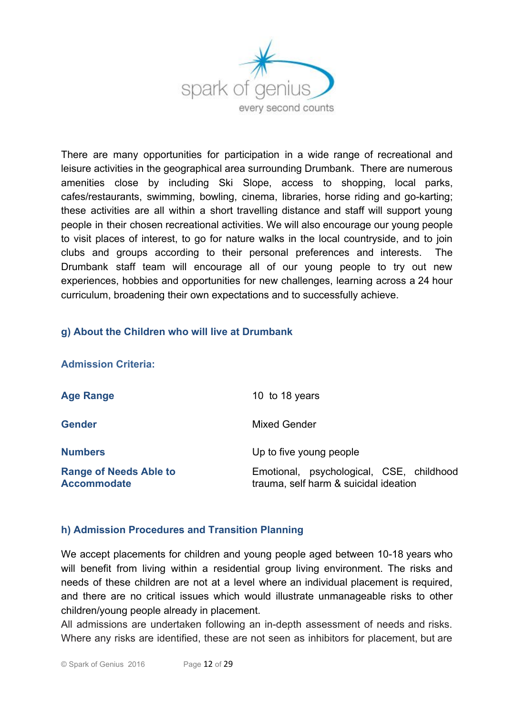

There are many opportunities for participation in a wide range of recreational and leisure activities in the geographical area surrounding Drumbank. There are numerous amenities close by including Ski Slope, access to shopping, local parks, cafes/restaurants, swimming, bowling, cinema, libraries, horse riding and go-karting; these activities are all within a short travelling distance and staff will support young people in their chosen recreational activities. We will also encourage our young people to visit places of interest, to go for nature walks in the local countryside, and to join clubs and groups according to their personal preferences and interests. The Drumbank staff team will encourage all of our young people to try out new experiences, hobbies and opportunities for new challenges, learning across a 24 hour curriculum, broadening their own expectations and to successfully achieve.

# **g) About the Children who will live at Drumbank**

| <b>Admission Criteria:</b>                          |                                                                                   |
|-----------------------------------------------------|-----------------------------------------------------------------------------------|
| <b>Age Range</b>                                    | 10 to 18 years                                                                    |
| <b>Gender</b>                                       | <b>Mixed Gender</b>                                                               |
| <b>Numbers</b>                                      | Up to five young people                                                           |
| <b>Range of Needs Able to</b><br><b>Accommodate</b> | Emotional, psychological, CSE, childhood<br>trauma, self harm & suicidal ideation |

# **h) Admission Procedures and Transition Planning**

We accept placements for children and young people aged between 10-18 years who will benefit from living within a residential group living environment. The risks and needs of these children are not at a level where an individual placement is required, and there are no critical issues which would illustrate unmanageable risks to other children/young people already in placement.

All admissions are undertaken following an in-depth assessment of needs and risks. Where any risks are identified, these are not seen as inhibitors for placement, but are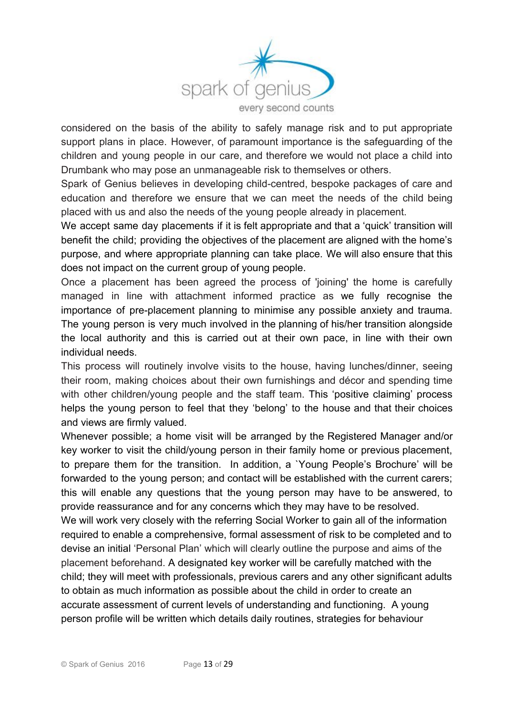

considered on the basis of the ability to safely manage risk and to put appropriate support plans in place. However, of paramount importance is the safeguarding of the children and young people in our care, and therefore we would not place a child into Drumbank who may pose an unmanageable risk to themselves or others.

Spark of Genius believes in developing child-centred, bespoke packages of care and education and therefore we ensure that we can meet the needs of the child being placed with us and also the needs of the young people already in placement.

We accept same day placements if it is felt appropriate and that a 'quick' transition will benefit the child; providing the objectives of the placement are aligned with the home's purpose, and where appropriate planning can take place. We will also ensure that this does not impact on the current group of young people.

Once a placement has been agreed the process of 'joining' the home is carefully managed in line with attachment informed practice as we fully recognise the importance of pre-placement planning to minimise any possible anxiety and trauma. The young person is very much involved in the planning of his/her transition alongside the local authority and this is carried out at their own pace, in line with their own individual needs.

This process will routinely involve visits to the house, having lunches/dinner, seeing their room, making choices about their own furnishings and décor and spending time with other children/young people and the staff team. This 'positive claiming' process helps the young person to feel that they 'belong' to the house and that their choices and views are firmly valued.

Whenever possible; a home visit will be arranged by the Registered Manager and/or key worker to visit the child/young person in their family home or previous placement, to prepare them for the transition. In addition, a `Young People's Brochure' will be forwarded to the young person; and contact will be established with the current carers; this will enable any questions that the young person may have to be answered, to provide reassurance and for any concerns which they may have to be resolved. We will work very closely with the referring Social Worker to gain all of the information required to enable a comprehensive, formal assessment of risk to be completed and to devise an initial 'Personal Plan' which will clearly outline the purpose and aims of the placement beforehand. A designated key worker will be carefully matched with the child; they will meet with professionals, previous carers and any other significant adults to obtain as much information as possible about the child in order to create an

accurate assessment of current levels of understanding and functioning. A young person profile will be written which details daily routines, strategies for behaviour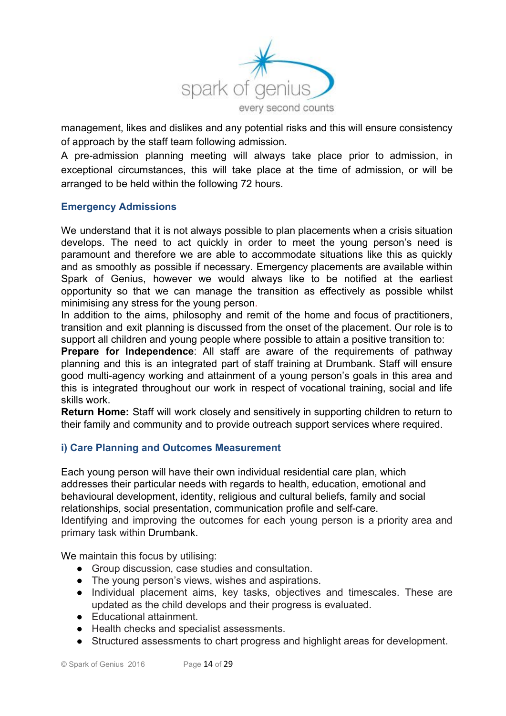

management, likes and dislikes and any potential risks and this will ensure consistency of approach by the staff team following admission.

A pre-admission planning meeting will always take place prior to admission, in exceptional circumstances, this will take place at the time of admission, or will be arranged to be held within the following 72 hours.

# **Emergency Admissions**

We understand that it is not always possible to plan placements when a crisis situation develops. The need to act quickly in order to meet the young person's need is paramount and therefore we are able to accommodate situations like this as quickly and as smoothly as possible if necessary. Emergency placements are available within Spark of Genius, however we would always like to be notified at the earliest opportunity so that we can manage the transition as effectively as possible whilst minimising any stress for the young person.

In addition to the aims, philosophy and remit of the home and focus of practitioners, transition and exit planning is discussed from the onset of the placement. Our role is to support all children and young people where possible to attain a positive transition to:

**Prepare for Independence**: All staff are aware of the requirements of pathway planning and this is an integrated part of staff training at Drumbank. Staff will ensure good multi-agency working and attainment of a young person's goals in this area and this is integrated throughout our work in respect of vocational training, social and life skills work.

**Return Home:** Staff will work closely and sensitively in supporting children to return to their family and community and to provide outreach support services where required.

# **i) Care Planning and Outcomes Measurement**

Each young person will have their own individual residential care plan, which addresses their particular needs with regards to health, education, emotional and behavioural development, identity, religious and cultural beliefs, family and social relationships, social presentation, communication profile and self-care. Identifying and improving the outcomes for each young person is a priority area and primary task within Drumbank.

We maintain this focus by utilising:

- Group discussion, case studies and consultation.
- The young person's views, wishes and aspirations.
- Individual placement aims, key tasks, objectives and timescales. These are updated as the child develops and their progress is evaluated.
- Educational attainment.
- Health checks and specialist assessments.
- Structured assessments to chart progress and highlight areas for development.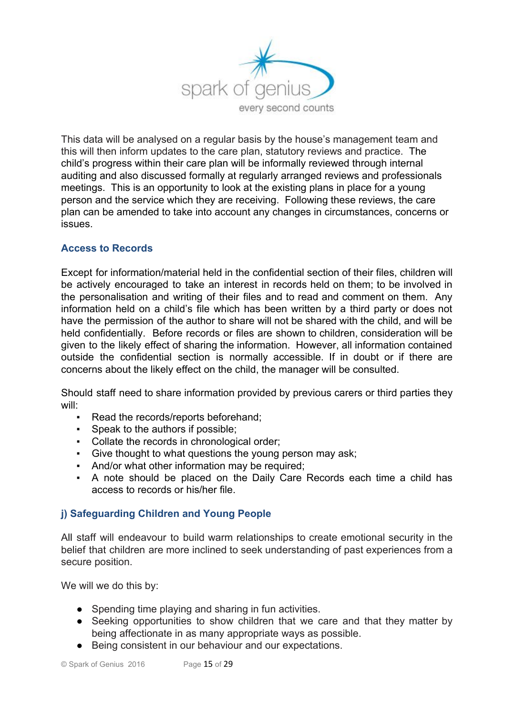

This data will be analysed on a regular basis by the house's management team and this will then inform updates to the care plan, statutory reviews and practice. The child's progress within their care plan will be informally reviewed through internal auditing and also discussed formally at regularly arranged reviews and professionals meetings. This is an opportunity to look at the existing plans in place for a young person and the service which they are receiving. Following these reviews, the care plan can be amended to take into account any changes in circumstances, concerns or issues.

# **Access to Records**

Except for information/material held in the confidential section of their files, children will be actively encouraged to take an interest in records held on them; to be involved in the personalisation and writing of their files and to read and comment on them. Any information held on a child's file which has been written by a third party or does not have the permission of the author to share will not be shared with the child, and will be held confidentially. Before records or files are shown to children, consideration will be given to the likely effect of sharing the information. However, all information contained outside the confidential section is normally accessible. If in doubt or if there are concerns about the likely effect on the child, the manager will be consulted.

Should staff need to share information provided by previous carers or third parties they will:

- Read the records/reports beforehand;
- Speak to the authors if possible;
- Collate the records in chronological order;
- Give thought to what questions the young person may ask;
- And/or what other information may be required;
- A note should be placed on the Daily Care Records each time a child has access to records or his/her file.

# **j) Safeguarding Children and Young People**

All staff will endeavour to build warm relationships to create emotional security in the belief that children are more inclined to seek understanding of past experiences from a secure position.

We will we do this by:

- Spending time playing and sharing in fun activities.
- Seeking opportunities to show children that we care and that they matter by being affectionate in as many appropriate ways as possible.
- Being consistent in our behaviour and our expectations.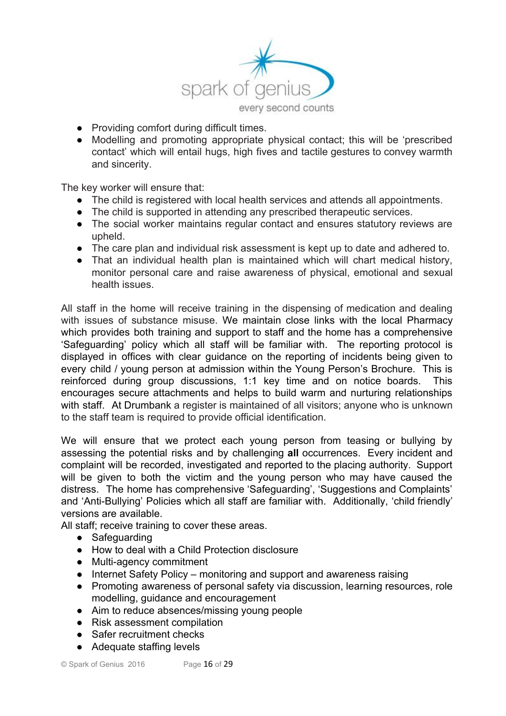

- Providing comfort during difficult times.
- Modelling and promoting appropriate physical contact; this will be 'prescribed contact' which will entail hugs, high fives and tactile gestures to convey warmth and sincerity.

The key worker will ensure that:

- The child is registered with local health services and attends all appointments.
- The child is supported in attending any prescribed therapeutic services.
- The social worker maintains regular contact and ensures statutory reviews are upheld.
- The care plan and individual risk assessment is kept up to date and adhered to.
- That an individual health plan is maintained which will chart medical history, monitor personal care and raise awareness of physical, emotional and sexual health issues.

All staff in the home will receive training in the dispensing of medication and dealing with issues of substance misuse. We maintain close links with the local Pharmacy which provides both training and support to staff and the home has a comprehensive 'Safeguarding' policy which all staff will be familiar with. The reporting protocol is displayed in offices with clear guidance on the reporting of incidents being given to every child / young person at admission within the Young Person's Brochure. This is reinforced during group discussions, 1:1 key time and on notice boards. This encourages secure attachments and helps to build warm and nurturing relationships with staff. At Drumbank a register is maintained of all visitors; anyone who is unknown to the staff team is required to provide official identification.

We will ensure that we protect each young person from teasing or bullying by assessing the potential risks and by challenging **all** occurrences. Every incident and complaint will be recorded, investigated and reported to the placing authority. Support will be given to both the victim and the young person who may have caused the distress. The home has comprehensive 'Safeguarding', 'Suggestions and Complaints' and 'Anti-Bullying' Policies which all staff are familiar with. Additionally, 'child friendly' versions are available.

All staff; receive training to cover these areas.

- Safeguarding
- How to deal with a Child Protection disclosure
- Multi-agency commitment
- Internet Safety Policy monitoring and support and awareness raising
- Promoting awareness of personal safety via discussion, learning resources, role modelling, guidance and encouragement
- Aim to reduce absences/missing young people
- Risk assessment compilation
- Safer recruitment checks
- Adequate staffing levels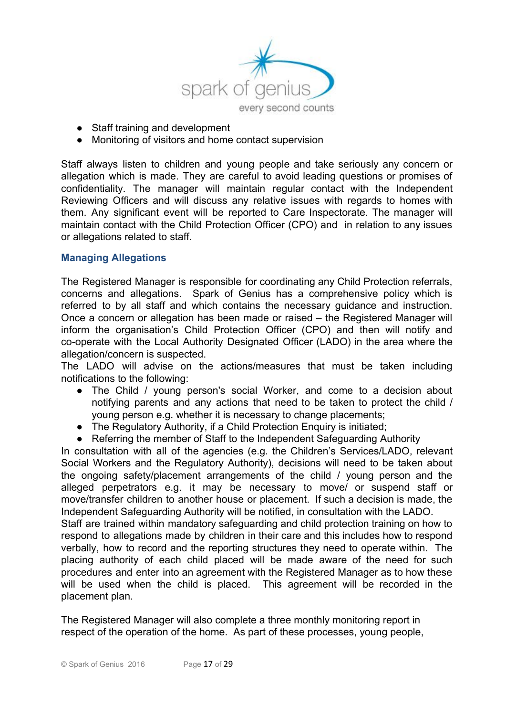

- Staff training and development
- Monitoring of visitors and home contact supervision

Staff always listen to children and young people and take seriously any concern or allegation which is made. They are careful to avoid leading questions or promises of confidentiality. The manager will maintain regular contact with the Independent Reviewing Officers and will discuss any relative issues with regards to homes with them. Any significant event will be reported to Care Inspectorate. The manager will maintain contact with the Child Protection Officer (CPO) and in relation to any issues or allegations related to staff.

#### **Managing Allegations**

The Registered Manager is responsible for coordinating any Child Protection referrals, concerns and allegations. Spark of Genius has a comprehensive policy which is referred to by all staff and which contains the necessary guidance and instruction. Once a concern or allegation has been made or raised – the Registered Manager will inform the organisation's Child Protection Officer (CPO) and then will notify and co-operate with the Local Authority Designated Officer (LADO) in the area where the allegation/concern is suspected.

The LADO will advise on the actions/measures that must be taken including notifications to the following:

- The Child / young person's social Worker, and come to a decision about notifying parents and any actions that need to be taken to protect the child / young person e.g. whether it is necessary to change placements;
- The Regulatory Authority, if a Child Protection Enquiry is initiated;
- Referring the member of Staff to the Independent Safeguarding Authority

In consultation with all of the agencies (e.g. the Children's Services/LADO, relevant Social Workers and the Regulatory Authority), decisions will need to be taken about the ongoing safety/placement arrangements of the child / young person and the alleged perpetrators e.g. it may be necessary to move/ or suspend staff or move/transfer children to another house or placement. If such a decision is made, the Independent Safeguarding Authority will be notified, in consultation with the LADO.

Staff are trained within mandatory safeguarding and child protection training on how to respond to allegations made by children in their care and this includes how to respond verbally, how to record and the reporting structures they need to operate within. The placing authority of each child placed will be made aware of the need for such procedures and enter into an agreement with the Registered Manager as to how these will be used when the child is placed. This agreement will be recorded in the placement plan.

The Registered Manager will also complete a three monthly monitoring report in respect of the operation of the home. As part of these processes, young people,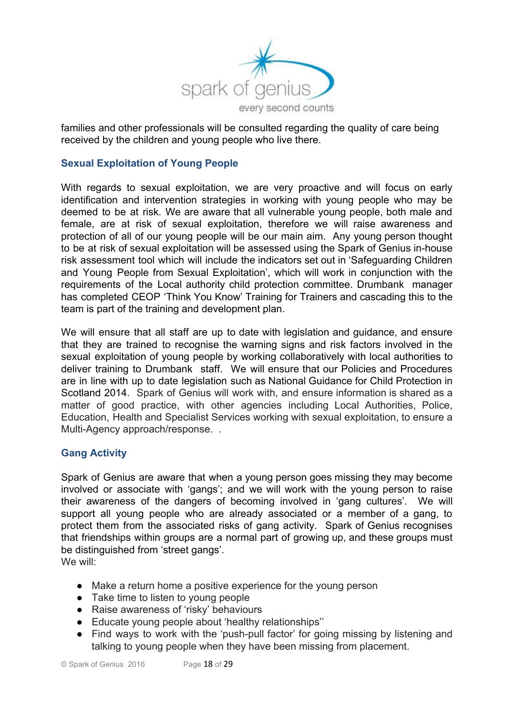

families and other professionals will be consulted regarding the quality of care being received by the children and young people who live there.

# **Sexual Exploitation of Young People**

With regards to sexual exploitation, we are very proactive and will focus on early identification and intervention strategies in working with young people who may be deemed to be at risk. We are aware that all vulnerable young people, both male and female, are at risk of sexual exploitation, therefore we will raise awareness and protection of all of our young people will be our main aim. Any young person thought to be at risk of sexual exploitation will be assessed using the Spark of Genius in-house risk assessment tool which will include the indicators set out in 'Safeguarding Children and Young People from Sexual Exploitation', which will work in conjunction with the requirements of the Local authority child protection committee. Drumbank manager has completed CEOP 'Think You Know' Training for Trainers and cascading this to the team is part of the training and development plan.

We will ensure that all staff are up to date with legislation and guidance, and ensure that they are trained to recognise the warning signs and risk factors involved in the sexual exploitation of young people by working collaboratively with local authorities to deliver training to Drumbank staff. We will ensure that our Policies and Procedures are in line with up to date legislation such as National Guidance for Child Protection in Scotland 2014. Spark of Genius will work with, and ensure information is shared as a matter of good practice, with other agencies including Local Authorities, Police, Education, Health and Specialist Services working with sexual exploitation, to ensure a Multi-Agency approach/response. .

# **Gang Activity**

Spark of Genius are aware that when a young person goes missing they may become involved or associate with 'gangs'; and we will work with the young person to raise their awareness of the dangers of becoming involved in 'gang cultures'. We will support all young people who are already associated or a member of a gang, to protect them from the associated risks of gang activity. Spark of Genius recognises that friendships within groups are a normal part of growing up, and these groups must be distinguished from 'street gangs'.

We will:

- Make a return home a positive experience for the young person
- Take time to listen to young people
- Raise awareness of 'risky' behaviours
- Educate young people about 'healthy relationships''
- Find ways to work with the 'push-pull factor' for going missing by listening and talking to young people when they have been missing from placement.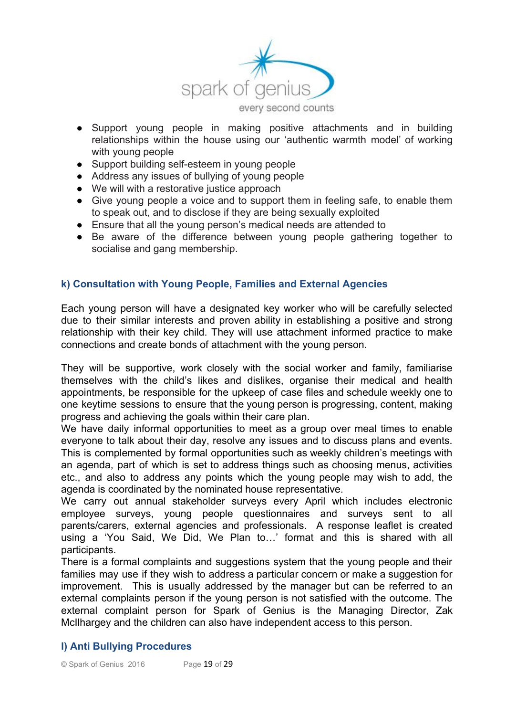

- Support young people in making positive attachments and in building relationships within the house using our 'authentic warmth model' of working with young people
- Support building self-esteem in young people
- Address any issues of bullying of young people
- We will with a restorative justice approach
- Give young people a voice and to support them in feeling safe, to enable them to speak out, and to disclose if they are being sexually exploited
- Ensure that all the young person's medical needs are attended to
- Be aware of the difference between young people gathering together to socialise and gang membership.

#### **k) Consultation with Young People, Families and External Agencies**

Each young person will have a designated key worker who will be carefully selected due to their similar interests and proven ability in establishing a positive and strong relationship with their key child. They will use attachment informed practice to make connections and create bonds of attachment with the young person.

They will be supportive, work closely with the social worker and family, familiarise themselves with the child's likes and dislikes, organise their medical and health appointments, be responsible for the upkeep of case files and schedule weekly one to one keytime sessions to ensure that the young person is progressing, content, making progress and achieving the goals within their care plan.

We have daily informal opportunities to meet as a group over meal times to enable everyone to talk about their day, resolve any issues and to discuss plans and events. This is complemented by formal opportunities such as weekly children's meetings with an agenda, part of which is set to address things such as choosing menus, activities etc., and also to address any points which the young people may wish to add, the agenda is coordinated by the nominated house representative.

We carry out annual stakeholder surveys every April which includes electronic employee surveys, young people questionnaires and surveys sent to all parents/carers, external agencies and professionals. A response leaflet is created using a 'You Said, We Did, We Plan to…' format and this is shared with all participants.

There is a formal complaints and suggestions system that the young people and their families may use if they wish to address a particular concern or make a suggestion for improvement. This is usually addressed by the manager but can be referred to an external complaints person if the young person is not satisfied with the outcome. The external complaint person for Spark of Genius is the Managing Director, Zak McIlhargey and the children can also have independent access to this person.

# **l) Anti Bullying Procedures**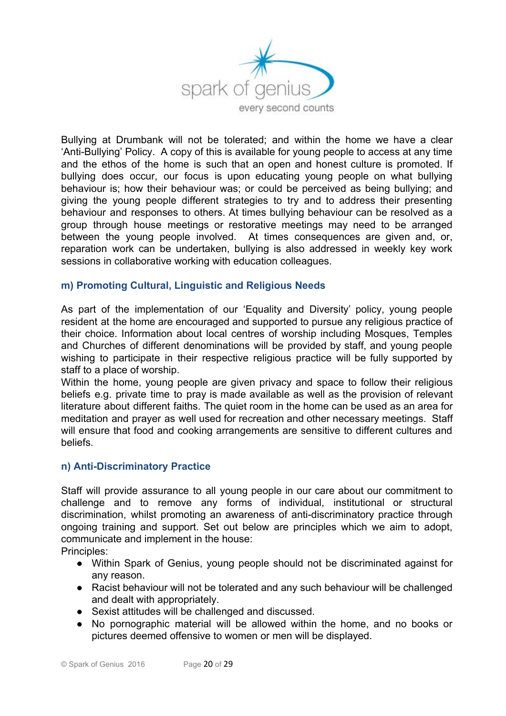

Bullying at Drumbank will not be tolerated; and within the home we have a clear 'Anti-Bullying' Policy. A copy of this is available for young people to access at any time and the ethos of the home is such that an open and honest culture is promoted. If bullying does occur, our focus is upon educating young people on what bullying behaviour is; how their behaviour was; or could be perceived as being bullying; and giving the young people different strategies to try and to address their presenting behaviour and responses to others. At times bullying behaviour can be resolved as a group through house meetings or restorative meetings may need to be arranged between the young people involved. At times consequences are given and, or, reparation work can be undertaken, bullying is also addressed in weekly key work sessions in collaborative working with education colleagues.

#### **m) Promoting Cultural, Linguistic and Religious Needs**

As part of the implementation of our 'Equality and Diversity' policy, young people resident at the home are encouraged and supported to pursue any religious practice of their choice. Information about local centres of worship including Mosques, Temples and Churches of different denominations will be provided by staff, and young people wishing to participate in their respective religious practice will be fully supported by staff to a place of worship.

Within the home, young people are given privacy and space to follow their religious beliefs e.g. private time to pray is made available as well as the provision of relevant literature about different faiths. The quiet room in the home can be used as an area for meditation and prayer as well used for recreation and other necessary meetings. Staff will ensure that food and cooking arrangements are sensitive to different cultures and beliefs.

#### **n) Anti-Discriminatory Practice**

Staff will provide assurance to all young people in our care about our commitment to challenge and to remove any forms of individual, institutional or structural discrimination, whilst promoting an awareness of anti-discriminatory practice through ongoing training and support. Set out below are principles which we aim to adopt, communicate and implement in the house:

Principles:

- Within Spark of Genius, young people should not be discriminated against for any reason.
- Racist behaviour will not be tolerated and any such behaviour will be challenged and dealt with appropriately.
- Sexist attitudes will be challenged and discussed.
- No pornographic material will be allowed within the home, and no books or pictures deemed offensive to women or men will be displayed.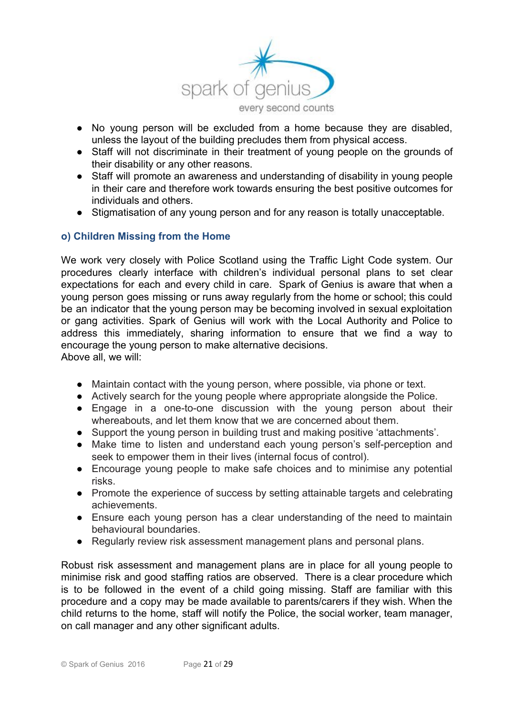

- No young person will be excluded from a home because they are disabled, unless the layout of the building precludes them from physical access.
- Staff will not discriminate in their treatment of young people on the grounds of their disability or any other reasons.
- Staff will promote an awareness and understanding of disability in young people in their care and therefore work towards ensuring the best positive outcomes for individuals and others.
- Stigmatisation of any young person and for any reason is totally unacceptable.

#### **o) Children Missing from the Home**

We work very closely with Police Scotland using the Traffic Light Code system. Our procedures clearly interface with children's individual personal plans to set clear expectations for each and every child in care. Spark of Genius is aware that when a young person goes missing or runs away regularly from the home or school; this could be an indicator that the young person may be becoming involved in sexual exploitation or gang activities. Spark of Genius will work with the Local Authority and Police to address this immediately, sharing information to ensure that we find a way to encourage the young person to make alternative decisions. Above all, we will:

- Maintain contact with the young person, where possible, via phone or text.
- Actively search for the young people where appropriate alongside the Police.
- Engage in a one-to-one discussion with the young person about their whereabouts, and let them know that we are concerned about them.
- Support the young person in building trust and making positive 'attachments'.
- Make time to listen and understand each young person's self-perception and seek to empower them in their lives (internal focus of control).
- Encourage young people to make safe choices and to minimise any potential risks.
- Promote the experience of success by setting attainable targets and celebrating achievements.
- Ensure each young person has a clear understanding of the need to maintain behavioural boundaries.
- Regularly review risk assessment management plans and personal plans.

Robust risk assessment and management plans are in place for all young people to minimise risk and good staffing ratios are observed. There is a clear procedure which is to be followed in the event of a child going missing. Staff are familiar with this procedure and a copy may be made available to parents/carers if they wish. When the child returns to the home, staff will notify the Police, the social worker, team manager, on call manager and any other significant adults.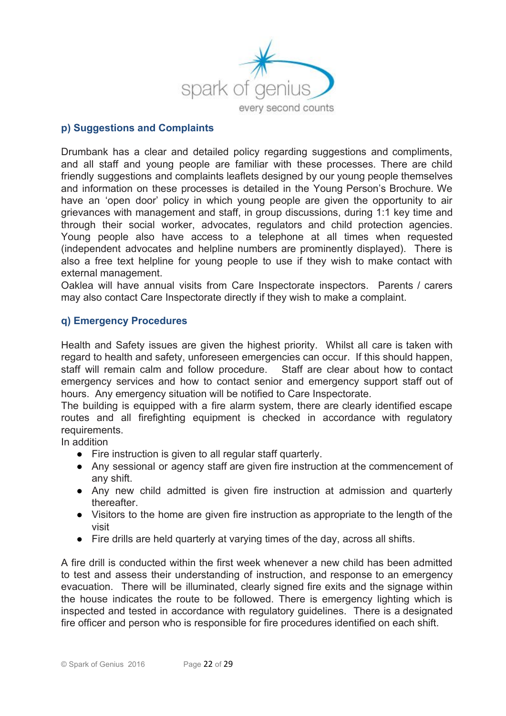

#### **p) Suggestions and Complaints**

Drumbank has a clear and detailed policy regarding suggestions and compliments, and all staff and young people are familiar with these processes. There are child friendly suggestions and complaints leaflets designed by our young people themselves and information on these processes is detailed in the Young Person's Brochure. We have an 'open door' policy in which young people are given the opportunity to air grievances with management and staff, in group discussions, during 1:1 key time and through their social worker, advocates, regulators and child protection agencies. Young people also have access to a telephone at all times when requested (independent advocates and helpline numbers are prominently displayed). There is also a free text helpline for young people to use if they wish to make contact with external management.

Oaklea will have annual visits from Care Inspectorate inspectors. Parents / carers may also contact Care Inspectorate directly if they wish to make a complaint.

#### **q) Emergency Procedures**

Health and Safety issues are given the highest priority. Whilst all care is taken with regard to health and safety, unforeseen emergencies can occur. If this should happen, staff will remain calm and follow procedure. Staff are clear about how to contact emergency services and how to contact senior and emergency support staff out of hours. Any emergency situation will be notified to Care Inspectorate.

The building is equipped with a fire alarm system, there are clearly identified escape routes and all firefighting equipment is checked in accordance with regulatory requirements.

In addition

- Fire instruction is given to all regular staff quarterly.
- Any sessional or agency staff are given fire instruction at the commencement of any shift.
- Any new child admitted is given fire instruction at admission and quarterly thereafter.
- Visitors to the home are given fire instruction as appropriate to the length of the visit
- Fire drills are held quarterly at varying times of the day, across all shifts.

A fire drill is conducted within the first week whenever a new child has been admitted to test and assess their understanding of instruction, and response to an emergency evacuation. There will be illuminated, clearly signed fire exits and the signage within the house indicates the route to be followed. There is emergency lighting which is inspected and tested in accordance with regulatory guidelines. There is a designated fire officer and person who is responsible for fire procedures identified on each shift.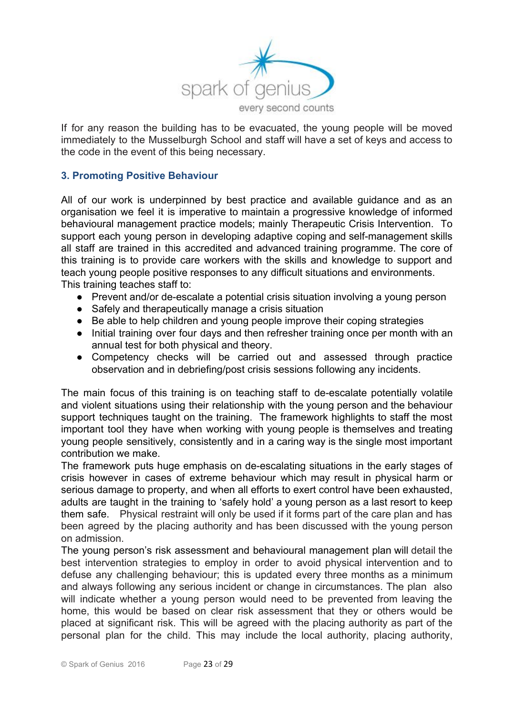

If for any reason the building has to be evacuated, the young people will be moved immediately to the Musselburgh School and staff will have a set of keys and access to the code in the event of this being necessary.

# **3. Promoting Positive Behaviour**

All of our work is underpinned by best practice and available guidance and as an organisation we feel it is imperative to maintain a progressive knowledge of informed behavioural management practice models; mainly Therapeutic Crisis Intervention. To support each young person in developing adaptive coping and self-management skills all staff are trained in this accredited and advanced training programme. The core of this training is to provide care workers with the skills and knowledge to support and teach young people positive responses to any difficult situations and environments. This training teaches staff to:

- Prevent and/or de-escalate a potential crisis situation involving a young person
- Safely and therapeutically manage a crisis situation
- Be able to help children and young people improve their coping strategies
- Initial training over four days and then refresher training once per month with an annual test for both physical and theory.
- Competency checks will be carried out and assessed through practice observation and in debriefing/post crisis sessions following any incidents.

The main focus of this training is on teaching staff to de-escalate potentially volatile and violent situations using their relationship with the young person and the behaviour support techniques taught on the training. The framework highlights to staff the most important tool they have when working with young people is themselves and treating young people sensitively, consistently and in a caring way is the single most important contribution we make.

The framework puts huge emphasis on de-escalating situations in the early stages of crisis however in cases of extreme behaviour which may result in physical harm or serious damage to property, and when all efforts to exert control have been exhausted, adults are taught in the training to 'safely hold' a young person as a last resort to keep them safe. Physical restraint will only be used if it forms part of the care plan and has been agreed by the placing authority and has been discussed with the young person on admission.

The young person's risk assessment and behavioural management plan will detail the best intervention strategies to employ in order to avoid physical intervention and to defuse any challenging behaviour; this is updated every three months as a minimum and always following any serious incident or change in circumstances. The plan also will indicate whether a young person would need to be prevented from leaving the home, this would be based on clear risk assessment that they or others would be placed at significant risk. This will be agreed with the placing authority as part of the personal plan for the child. This may include the local authority, placing authority,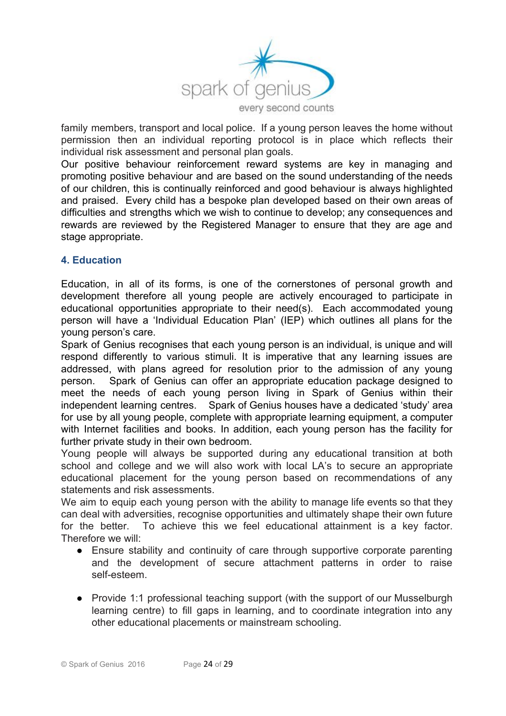

family members, transport and local police. If a young person leaves the home without permission then an individual reporting protocol is in place which reflects their individual risk assessment and personal plan goals.

Our positive behaviour reinforcement reward systems are key in managing and promoting positive behaviour and are based on the sound understanding of the needs of our children, this is continually reinforced and good behaviour is always highlighted and praised. Every child has a bespoke plan developed based on their own areas of difficulties and strengths which we wish to continue to develop; any consequences and rewards are reviewed by the Registered Manager to ensure that they are age and stage appropriate.

#### **4. Education**

Education, in all of its forms, is one of the cornerstones of personal growth and development therefore all young people are actively encouraged to participate in educational opportunities appropriate to their need(s). Each accommodated young person will have a 'Individual Education Plan' (IEP) which outlines all plans for the young person's care.

Spark of Genius recognises that each young person is an individual, is unique and will respond differently to various stimuli. It is imperative that any learning issues are addressed, with plans agreed for resolution prior to the admission of any young person. Spark of Genius can offer an appropriate education package designed to meet the needs of each young person living in Spark of Genius within their independent learning centres. Spark of Genius houses have a dedicated 'study' area for use by all young people, complete with appropriate learning equipment, a computer with Internet facilities and books. In addition, each young person has the facility for further private study in their own bedroom.

Young people will always be supported during any educational transition at both school and college and we will also work with local LA's to secure an appropriate educational placement for the young person based on recommendations of any statements and risk assessments.

We aim to equip each young person with the ability to manage life events so that they can deal with adversities, recognise opportunities and ultimately shape their own future for the better. To achieve this we feel educational attainment is a key factor. Therefore we will:

- Ensure stability and continuity of care through supportive corporate parenting and the development of secure attachment patterns in order to raise self-esteem.
- Provide 1:1 professional teaching support (with the support of our Musselburgh learning centre) to fill gaps in learning, and to coordinate integration into any other educational placements or mainstream schooling.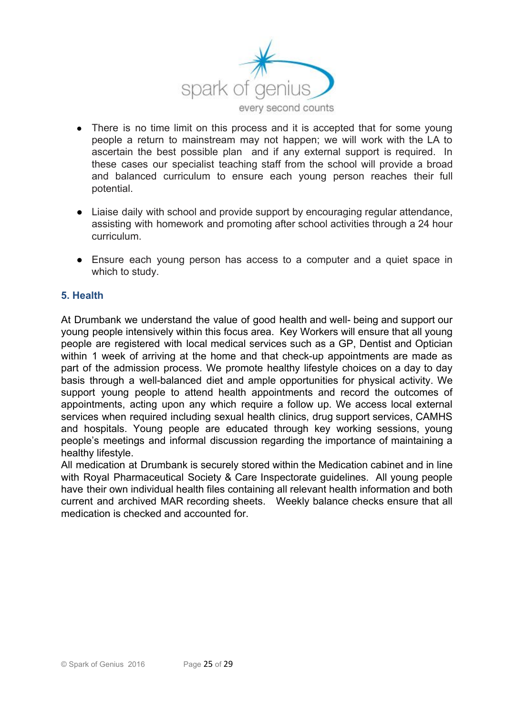

- There is no time limit on this process and it is accepted that for some young people a return to mainstream may not happen; we will work with the LA to ascertain the best possible plan and if any external support is required. In these cases our specialist teaching staff from the school will provide a broad and balanced curriculum to ensure each young person reaches their full potential.
- Liaise daily with school and provide support by encouraging regular attendance, assisting with homework and promoting after school activities through a 24 hour curriculum.
- Ensure each young person has access to a computer and a quiet space in which to study.

# **5. Health**

At Drumbank we understand the value of good health and well- being and support our young people intensively within this focus area. Key Workers will ensure that all young people are registered with local medical services such as a GP, Dentist and Optician within 1 week of arriving at the home and that check-up appointments are made as part of the admission process. We promote healthy lifestyle choices on a day to day basis through a well-balanced diet and ample opportunities for physical activity. We support young people to attend health appointments and record the outcomes of appointments, acting upon any which require a follow up. We access local external services when required including sexual health clinics, drug support services, CAMHS and hospitals. Young people are educated through key working sessions, young people's meetings and informal discussion regarding the importance of maintaining a healthy lifestyle.

All medication at Drumbank is securely stored within the Medication cabinet and in line with Royal Pharmaceutical Society & Care Inspectorate guidelines. All young people have their own individual health files containing all relevant health information and both current and archived MAR recording sheets. Weekly balance checks ensure that all medication is checked and accounted for.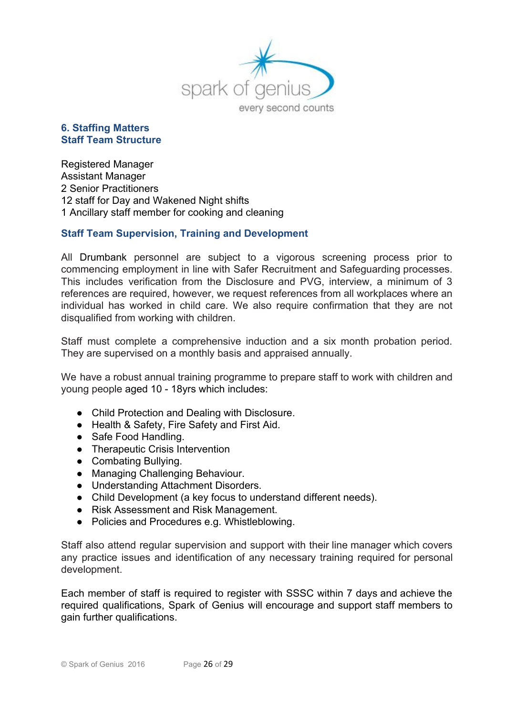

# **6. Staffing Matters Staff Team Structure**

Registered Manager Assistant Manager 2 Senior Practitioners 12 staff for Day and Wakened Night shifts 1 Ancillary staff member for cooking and cleaning

# **Staff Team Supervision, Training and Development**

All Drumbank personnel are subject to a vigorous screening process prior to commencing employment in line with Safer Recruitment and Safeguarding processes. This includes verification from the Disclosure and PVG, interview, a minimum of 3 references are required, however, we request references from all workplaces where an individual has worked in child care. We also require confirmation that they are not disqualified from working with children.

Staff must complete a comprehensive induction and a six month probation period. They are supervised on a monthly basis and appraised annually.

We have a robust annual training programme to prepare staff to work with children and young people aged 10 - 18yrs which includes:

- Child Protection and Dealing with Disclosure.
- Health & Safety, Fire Safety and First Aid.
- Safe Food Handling.
- Therapeutic Crisis Intervention
- Combating Bullying.
- Managing Challenging Behaviour.
- Understanding Attachment Disorders.
- Child Development (a key focus to understand different needs).
- Risk Assessment and Risk Management.
- Policies and Procedures e.g. Whistleblowing.

Staff also attend regular supervision and support with their line manager which covers any practice issues and identification of any necessary training required for personal development.

Each member of staff is required to register with SSSC within 7 days and achieve the required qualifications, Spark of Genius will encourage and support staff members to gain further qualifications.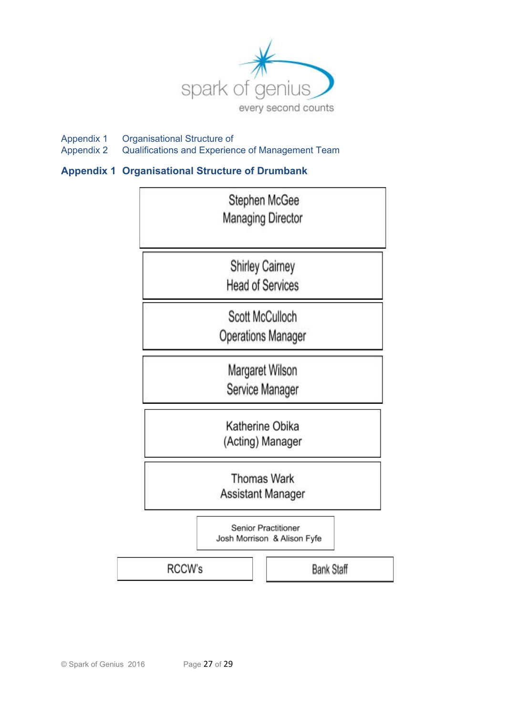

Appendix 1 Organisational Structure of<br>Appendix 2 Qualifications and Experien Qualifications and Experience of Management Team

# **Appendix 1 Organisational Structure of Drumbank**

|        |                                                    |  | Stephen McGee<br><b>Managing Director</b>    |  |  |  |
|--------|----------------------------------------------------|--|----------------------------------------------|--|--|--|
|        | <b>Shirley Cairney</b><br><b>Head of Services</b>  |  |                                              |  |  |  |
|        |                                                    |  | Scott McCulloch<br><b>Operations Manager</b> |  |  |  |
|        | Margaret Wilson<br>Service Manager                 |  |                                              |  |  |  |
|        |                                                    |  | Katherine Obika<br>(Acting) Manager          |  |  |  |
|        | <b>Thomas Wark</b><br>Assistant Manager            |  |                                              |  |  |  |
|        | Senior Practitioner<br>Josh Morrison & Alison Fyfe |  |                                              |  |  |  |
| RCCW's |                                                    |  | Bank Staff                                   |  |  |  |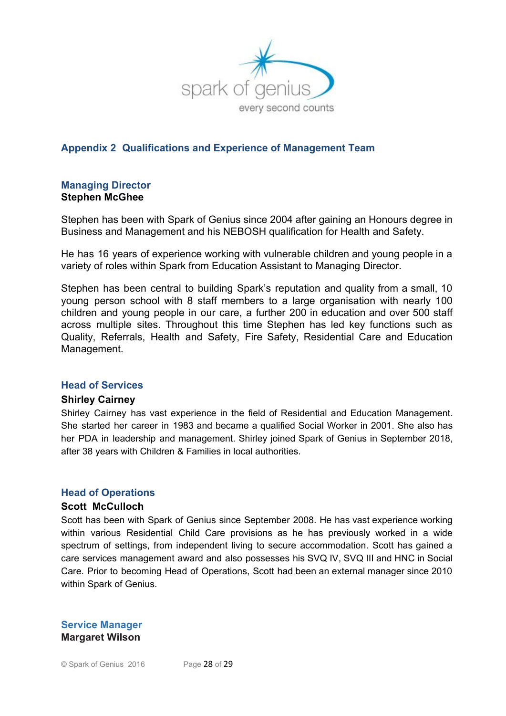

# **Appendix 2 Qualifications and Experience of Management Team**

#### **Managing Director Stephen McGhee**

Stephen has been with Spark of Genius since 2004 after gaining an Honours degree in Business and Management and his NEBOSH qualification for Health and Safety.

He has 16 years of experience working with vulnerable children and young people in a variety of roles within Spark from Education Assistant to Managing Director.

Stephen has been central to building Spark's reputation and quality from a small, 10 young person school with 8 staff members to a large organisation with nearly 100 children and young people in our care, a further 200 in education and over 500 staff across multiple sites. Throughout this time Stephen has led key functions such as Quality, Referrals, Health and Safety, Fire Safety, Residential Care and Education Management.

#### **Head of Services**

#### **Shirley Cairney**

Shirley Cairney has vast experience in the field of Residential and Education Management. She started her career in 1983 and became a qualified Social Worker in 2001. She also has her PDA in leadership and management. Shirley joined Spark of Genius in September 2018, after 38 years with Children & Families in local authorities.

#### **Head of Operations**

#### **Scott McCulloch**

Scott has been with Spark of Genius since September 2008. He has vast experience working within various Residential Child Care provisions as he has previously worked in a wide spectrum of settings, from independent living to secure accommodation. Scott has gained a care services management award and also possesses his SVQ IV, SVQ III and HNC in Social Care. Prior to becoming Head of Operations, Scott had been an external manager since 2010 within Spark of Genius.

#### **Service Manager Margaret Wilson**